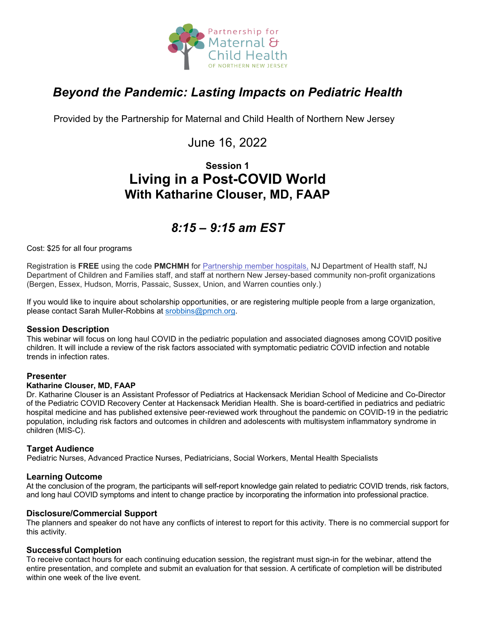

# *Beyond the Pandemic: Lasting Impacts on Pediatric Health*

Provided by the Partnership for Maternal and Child Health of Northern New Jersey

### June 16, 2022

### **Session 1 Living in a Post-COVID World With Katharine Clouser, MD, FAAP**

# *8:15 – 9:15 am EST*

Cost: \$25 for all four programs

Registration is **FREE** using the code **PMCHMH** for Partnership [member hospitals,](https://www.partnershipmch.org/about-us/member-hospitals/) NJ Department of Health staff, NJ Department of Children and Families staff, and staff at northern New Jersey-based community non-profit organizations (Bergen, Essex, Hudson, Morris, Passaic, Sussex, Union, and Warren counties only.)

If you would like to inquire about scholarship opportunities, or are registering multiple people from a large organization, please contact Sarah Muller-Robbins at [srobbins@pmch.org.](mailto:srobbins@pmch.org)

#### **Session Description**

This webinar will focus on long haul COVID in the pediatric population and associated diagnoses among COVID positive children. It will include a review of the risk factors associated with symptomatic pediatric COVID infection and notable trends in infection rates.

#### **Presenter**

#### **Katharine Clouser, MD, FAAP**

Dr. Katharine Clouser is an Assistant Professor of Pediatrics at Hackensack Meridian School of Medicine and Co-Director of the Pediatric COVID Recovery Center at Hackensack Meridian Health. She is board-certified in pediatrics and pediatric hospital medicine and has published extensive peer-reviewed work throughout the pandemic on COVID-19 in the pediatric population, including risk factors and outcomes in children and adolescents with multisystem inflammatory syndrome in children (MIS-C).

#### **Target Audience**

Pediatric Nurses, Advanced Practice Nurses, Pediatricians, Social Workers, Mental Health Specialists

#### **Learning Outcome**

At the conclusion of the program, the participants will self-report knowledge gain related to pediatric COVID trends, risk factors, and long haul COVID symptoms and intent to change practice by incorporating the information into professional practice.

#### **Disclosure/Commercial Support**

The planners and speaker do not have any conflicts of interest to report for this activity. There is no commercial support for this activity.

#### **Successful Completion**

To receive contact hours for each continuing education session, the registrant must sign-in for the webinar, attend the entire presentation, and complete and submit an evaluation for that session. A certificate of completion will be distributed within one week of the live event.